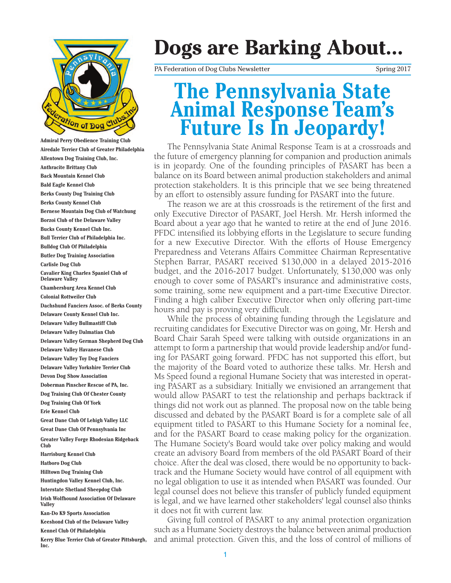

**Airedale Terrier Club of Greater Philadelphia Allentown Dog Training Club, Inc. Anthracite Brittany Club Back Mountain Kennel Club Bald Eagle Kennel Club Berks County Dog Training Club Berks County Kennel Club Bernese Mountain Dog Club of Watchung Borzoi Club of the Delaware Valley Bucks County Kennel Club Inc. Bull Terrier Club of Philadelphia Inc. Bulldog Club Of Philadelphia Butler Dog Training Association Carlisle Dog Club Cavalier King Charles Spaniel Club of Delaware Valley Chambersburg Area Kennel Club Colonial Rottweiler Club Dachshund Fanciers Assoc. of Berks County Delaware County Kennel Club Inc. Delaware Valley Bullmastiff Club Delaware Valley Dalmatian Club Delaware Valley German Shepherd Dog Club Delaware Valley Havanese Club Delaware Valley Toy Dog Fanciers Delaware Valley Yorkshire Terrier Club Devon Dog Show Association Doberman Pinscher Rescue of PA, Inc. Dog Training Club Of Chester County Dog Training Club Of York Erie Kennel Club Great Dane Club Of Lehigh Valley LLC Great Dane Club Of Pennsylvania Inc Greater Valley Forge Rhodesian Ridgeback Club Harrisburg Kennel Club Hatboro Dog Club Hilltown Dog Training Club Huntingdon Valley Kennel Club, Inc. Interstate Shetland Sheepdog Club Irish Wolfhound Association Of Delaware Valley Kan-Do K9 Sports Association Keeshond Club of the Delaware Valley Kennel Club Of Philadelphia**

**Kerry Blue Terrier Club of Greater Pittsburgh, Inc.**

# **Dogs are Barking About...**

PA Federation of Dog Clubs Newsletter Spring 2017

## **The Pennsylvania State Animal Response Team's Future Is In Jeopardy!**

The Pennsylvania State Animal Response Team is at a crossroads and the future of emergency planning for companion and production animals is in jeopardy. One of the founding principles of PASART has been a balance on its Board between animal production stakeholders and animal protection stakeholders. It is this principle that we see being threatened by an effort to ostensibly assure funding for PASART into the future.

The reason we are at this crossroads is the retirement of the first and only Executive Director of PASART, Joel Hersh. Mr. Hersh informed the Board about a year ago that he wanted to retire at the end of June 2016. PFDC intensified its lobbying efforts in the Legislature to secure funding for a new Executive Director. With the efforts of House Emergency Preparedness and Veterans Affairs Committee Chairman Representative Stephen Barrar, PASART received \$130,000 in a delayed 2015-2016 budget, and the 2016-2017 budget. Unfortunately, \$130,000 was only enough to cover some of PASART's insurance and administrative costs, some training, some new equipment and a part-time Executive Director. Finding a high caliber Executive Director when only offering part-time hours and pay is proving very difficult.

While the process of obtaining funding through the Legislature and recruiting candidates for Executive Director was on going, Mr. Hersh and Board Chair Sarah Speed were talking with outside organizations in an attempt to form a partnership that would provide leadership and/or funding for PASART going forward. PFDC has not supported this effort, but the majority of the Board voted to authorize these talks. Mr. Hersh and Ms Speed found a regional Humane Society that was interested in operating PASART as a subsidiary. Initially we envisioned an arrangement that would allow PASART to test the relationship and perhaps backtrack if things did not work out as planned. The proposal now on the table being discussed and debated by the PASART Board is for a complete sale of all equipment titled to PASART to this Humane Society for a nominal fee, and for the PASART Board to cease making policy for the organization. The Humane Society's Board would take over policy making and would create an advisory Board from members of the old PASART Board of their choice. After the deal was closed, there would be no opportunity to backtrack and the Humane Society would have control of all equipment with no legal obligation to use it as intended when PASART was founded. Our legal counsel does not believe this transfer of publicly funded equipment is legal, and we have learned other stakeholders' legal counsel also thinks it does not fit with current law.

Giving full control of PASART to any animal protection organization such as a Humane Society destroys the balance between animal production and animal protection. Given this, and the loss of control of millions of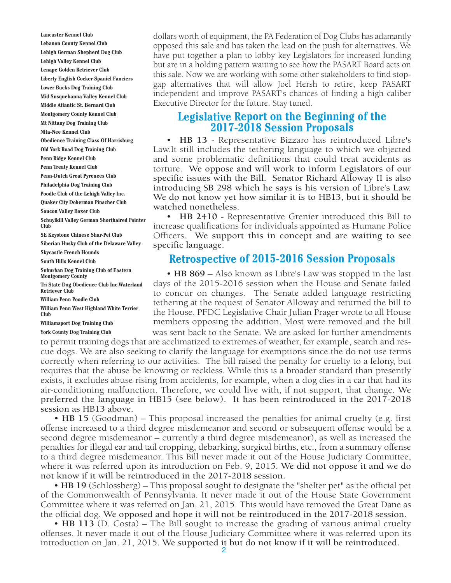**Lancaster Kennel Club Lebanon County Kennel Club Lehigh German Shepherd Dog Club Lehigh Valley Kennel Club Lenape Golden Retriever Club Liberty English Cocker Spaniel Fanciers Lower Bucks Dog Training Club Mid Susquehanna Valley Kennel Club Middle Atlantic St. Bernard Club Montgomery County Kennel Club Mt Nittany Dog Training Club Nita-Nee Kennel Club Obedience Training Class Of Harrisburg Old York Road Dog Training Club Penn Ridge Kennel Club Penn Treaty Kennel Club Penn-Dutch Great Pyrenees Club Philadelphia Dog Training Club Poodle Club of the Lehigh Valley Inc. Quaker City Doberman Pinscher Club Saucon Valley Boxer Club Schuylkill Valley German Shorthaired Pointer Club SE Keystone Chinese Shar-Pei Club Siberian Husky Club of the Delaware Valley Skycastle French Hounds South Hills Kennel Club Suburban Dog Training Club of Eastern Montgomery County Tri State Dog Obedience Club Inc.Waterland Retriever Club William Penn Poodle Club**

**William Penn West Highland White Terrier Club**

**Williamsport Dog Training Club York County Dog Training Club**

dollars worth of equipment, the PA Federation of Dog Clubs has adamantly opposed this sale and has taken the lead on the push for alternatives. We have put together a plan to lobby key Legislators for increased funding but are in a holding pattern waiting to see how the PASART Board acts on this sale. Now we are working with some other stakeholders to find stopgap alternatives that will allow Joel Hersh to retire, keep PASART independent and improve PASART's chances of finding a high caliber Executive Director for the future. Stay tuned.

#### **Legislative Report on the Beginning of the 2017-2018 Session Proposals**

• **HB 13** - Representative Bizzaro has reintroduced Libre's Law.It still includes the tethering language to which we objected and some problematic definitions that could treat accidents as torture. We oppose and will work to inform Legislators of our specific issues with the Bill. Senator Richard Alloway II is also introducing SB 298 which he says is his version of Libre's Law. We do not know yet how similar it is to HB13, but it should be watched nonetheless.

• **HB 2410** - Representative Grenier introduced this Bill to increase qualifications for individuals appointed as Humane Police Officers. We support this in concept and are waiting to see specific language.

#### **Retrospective of 2015-2016 Session Proposals**

• **HB 869** – Also known as Libre's Law was stopped in the last days of the 2015-2016 session when the House and Senate failed to concur on changes. The Senate added language restricting tethering at the request of Senator Alloway and returned the bill to the House. PFDC Legislative Chair Julian Prager wrote to all House members opposing the addition. Most were removed and the bill was sent back to the Senate. We are asked for further amendments

to permit training dogs that are acclimatized to extremes of weather, for example, search and rescue dogs. We are also seeking to clarify the language for exemptions since the do not use terms correctly when referring to our activities. The bill raised the penalty for cruelty to a felony, but requires that the abuse be knowing or reckless. While this is a broader standard than presently exists, it excludes abuse rising from accidents, for example, when a dog dies in a car that had its air-conditioning malfunction. Therefore, we could live with, if not support, that change. We preferred the language in HB15 (see below). It has been reintroduced in the 2017-2018 session as HB13 above.

• **HB 15** (Goodman) – This proposal increased the penalties for animal cruelty (e.g. first offense increased to a third degree misdemeanor and second or subsequent offense would be a second degree misdemeanor – currently a third degree misdemeanor), as well as increased the penalties for illegal ear and tail cropping, debarking, surgical births, etc., from a summary offense to a third degree misdemeanor. This Bill never made it out of the House Judiciary Committee, where it was referred upon its introduction on Feb. 9, 2015. We did not oppose it and we do not know if it will be reintroduced in the 2017-2018 session**.**

• **HB 19** (Schlossberg) – This proposal sought to designate the "shelter pet" as the official pet of the Commonwealth of Pennsylvania. It never made it out of the House State Government Committee where it was referred on Jan. 21, 2015. This would have removed the Great Dane as the official dog. We opposed and hope it will not be reintroduced in the 2017-2018 session.

• **HB 113** (D. Costa) – The Bill sought to increase the grading of various animal cruelty offenses. It never made it out of the House Judiciary Committee where it was referred upon its introduction on Jan. 21, 2015. We supported it but do not know if it will be reintroduced.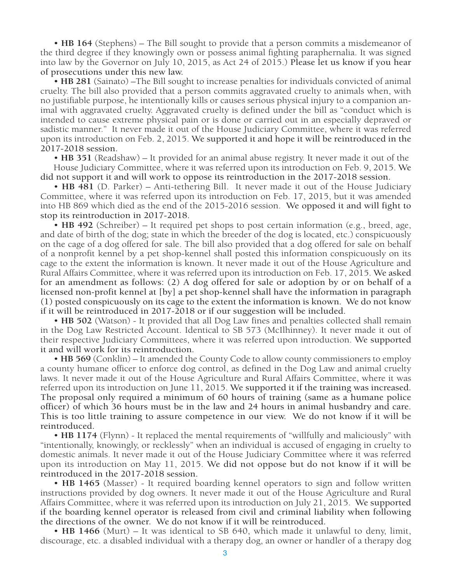• **HB 164** (Stephens) – The Bill sought to provide that a person commits a misdemeanor of the third degree if they knowingly own or possess animal fighting paraphernalia. It was signed into law by the Governor on July 10, 2015, as Act 24 of 2015.) Please let us know if you hear of prosecutions under this new law.

• **HB 281** (Sainato) –The Bill sought to increase penalties for individuals convicted of animal cruelty. The bill also provided that a person commits aggravated cruelty to animals when, with no justifiable purpose, he intentionally kills or causes serious physical injury to a companion animal with aggravated cruelty. Aggravated cruelty is defined under the bill as "conduct which is intended to cause extreme physical pain or is done or carried out in an especially depraved or sadistic manner." It never made it out of the House Judiciary Committee, where it was referred upon its introduction on Feb. 2, 2015. We supported it and hope it will be reintroduced in the 2017-2018 session.

• **HB 351** (Readshaw) – It provided for an animal abuse registry. It never made it out of the House Judiciary Committee, where it was referred upon its introduction on Feb. 9, 2015. We did not support it and will work to oppose its reintroduction in the 2017-2018 session.

• **HB 481** (D. Parker) – Anti-tethering Bill. It never made it out of the House Judiciary Committee, where it was referred upon its introduction on Feb. 17, 2015, but it was amended into HB 869 which died as the end of the 2015-2016 session. We opposed it and will fight to stop its reintroduction in 2017-2018.

• **HB 492** (Schreiber) – It required pet shops to post certain information (e.g., breed, age, and date of birth of the dog; state in which the breeder of the dog is located, etc.) conspicuously on the cage of a dog offered for sale. The bill also provided that a dog offered for sale on behalf of a nonprofit kennel by a pet shop-kennel shall posted this information conspicuously on its cage to the extent the information is known. It never made it out of the House Agriculture and Rural Affairs Committee, where it was referred upon its introduction on Feb. 17, 2015. We asked for an amendment as follows: (2) A dog offered for sale or adoption by or on behalf of a licensed non-profit kennel at [by] a pet shop-kennel shall have the information in paragraph (1) posted conspicuously on its cage to the extent the information is known. We do not know if it will be reintroduced in 2017-2018 or if our suggestion will be included.

• **HB 502** (Watson) - It provided that all Dog Law fines and penalties collected shall remain in the Dog Law Restricted Account. Identical to SB 573 (McIlhinney). It never made it out of their respective Judiciary Committees, where it was referred upon introduction. We supported it and will work for its reintroduction.

• **HB 569** (Conklin) – It amended the County Code to allow county commissioners to employ a county humane officer to enforce dog control, as defined in the Dog Law and animal cruelty laws. It never made it out of the House Agriculture and Rural Affairs Committee, where it was referred upon its introduction on June 11, 2015. We supported it if the training was increased. The proposal only required a minimum of 60 hours of training (same as a humane police officer) of which 36 hours must be in the law and 24 hours in animal husbandry and care. This is too little training to assure competence in our view. We do not know if it will be reintroduced.

• **HB 1174** (Flynn) - It replaced the mental requirements of "willfully and maliciously" with "intentionally, knowingly, or recklessly" when an individual is accused of engaging in cruelty to domestic animals. It never made it out of the House Judiciary Committee where it was referred upon its introduction on May 11, 2015. We did not oppose but do not know if it will be reintroduced in the 2017-2018 session.

• **HB 1465** (Masser) - It required boarding kennel operators to sign and follow written instructions provided by dog owners. It never made it out of the House Agriculture and Rural Affairs Committee, where it was referred upon its introduction on July 21, 2015. We supported if the boarding kennel operator is released from civil and criminal liability when following the directions of the owner. We do not know if it will be reintroduced.

• **HB 1466** (Murt) – It was identical to SB 640, which made it unlawful to deny, limit, discourage, etc. a disabled individual with a therapy dog, an owner or handler of a therapy dog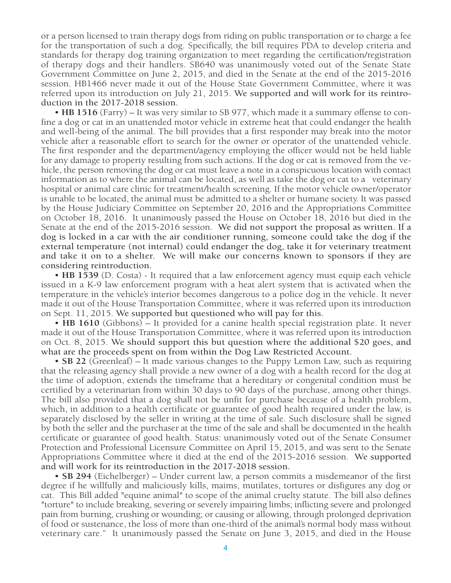or a person licensed to train therapy dogs from riding on public transportation or to charge a fee for the transportation of such a dog. Specifically, the bill requires PDA to develop criteria and standards for therapy dog training organization to meet regarding the certification/registration of therapy dogs and their handlers. SB640 was unanimously voted out of the Senate State Government Committee on June 2, 2015, and died in the Senate at the end of the 2015-2016 session. HB1466 never made it out of the House State Government Committee, where it was referred upon its introduction on July 21, 2015. We supported and will work for its reintroduction in the 2017-2018 session.

• **HB 1516** (Farry) – It was very similar to SB 977, which made it a summary offense to confine a dog or cat in an unattended motor vehicle in extreme heat that could endanger the health and well-being of the animal. The bill provides that a first responder may break into the motor vehicle after a reasonable effort to search for the owner or operator of the unattended vehicle. The first responder and the department/agency employing the officer would not be held liable for any damage to property resulting from such actions. If the dog or cat is removed from the vehicle, the person removing the dog or cat must leave a note in a conspicuous location with contact information as to where the animal can be located, as well as take the dog or cat to a veterinary hospital or animal care clinic for treatment/health screening. If the motor vehicle owner/operator is unable to be located, the animal must be admitted to a shelter or humane society. It was passed by the House Judiciary Committee on September 20, 2016 and the Appropriations Committee on October 18, 2016. It unanimously passed the House on October 18, 2016 but died in the Senate at the end of the 2015-2016 session. We did not support the proposal as written. If a dog is locked in a car with the air conditioner running, someone could take the dog if the external temperature (not internal) could endanger the dog, take it for veterinary treatment and take it on to a shelter. We will make our concerns known to sponsors if they are considering reintroduction.

• **HB 1539** (D. Costa) - It required that a law enforcement agency must equip each vehicle issued in a K-9 law enforcement program with a heat alert system that is activated when the temperature in the vehicle's interior becomes dangerous to a police dog in the vehicle. It never made it out of the House Transportation Committee, where it was referred upon its introduction on Sept. 11, 2015. We supported but questioned who will pay for this.

• **HB 1610** (Gibbons) – It provided for a canine health special registration plate. It never made it out of the House Transportation Committee, where it was referred upon its introduction on Oct. 8, 2015. We should support this but question where the additional \$20 goes, and what are the proceeds spent on from within the Dog Law Restricted Account.

• **SB 22** (Greenleaf) – It made various changes to the Puppy Lemon Law, such as requiring that the releasing agency shall provide a new owner of a dog with a health record for the dog at the time of adoption, extends the timeframe that a hereditary or congenital condition must be certified by a veterinarian from within 30 days to 90 days of the purchase, among other things. The bill also provided that a dog shall not be unfit for purchase because of a health problem, which, in addition to a health certificate or guarantee of good health required under the law, is separately disclosed by the seller in writing at the time of sale. Such disclosure shall be signed by both the seller and the purchaser at the time of the sale and shall be documented in the health certificate or guarantee of good health. Status: unanimously voted out of the Senate Consumer Protection and Professional Licensure Committee on April 15, 2015, and was sent to the Senate Appropriations Committee where it died at the end of the 2015-2016 session. We supported and will work for its reintroduction in the 2017-2018 session.

• **SB 294** (Eichelberger) – Under current law, a person commits a misdemeanor of the first degree if he willfully and maliciously kills, maims, mutilates, tortures or disfigures any dog or cat. This Bill added "equine animal" to scope of the animal cruelty statute. The bill also defines "torture" to include breaking, severing or severely impairing limbs; inflicting severe and prolonged pain from burning, crushing or wounding; or causing or allowing, through prolonged deprivation of food or sustenance, the loss of more than one-third of the animal's normal body mass without veterinary care." It unanimously passed the Senate on June 3, 2015, and died in the House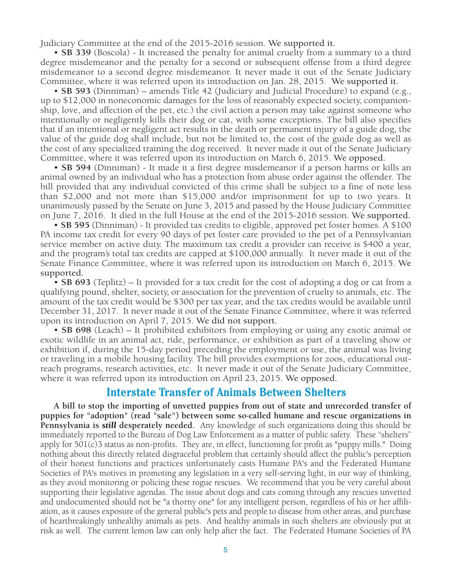Judiciary Committee at the end of the 2015-2016 session. We supported it.

• **SB 339** (Boscola) - It increased the penalty for animal cruelty from a summary to a third degree misdemeanor and the penalty for a second or subsequent offense from a third degree misdemeanor to a second degree misdemeanor. It never made it out of the Senate Judiciary Committee, where it was referred upon its introduction on Jan. 28, 2015. We supported it.

• **SB 593** (Dinniman) – amends Title 42 (Judiciary and Judicial Procedure) to expand (e.g., up to \$12,000 in noneconomic damages for the loss of reasonably expected society, companionship, love, and affection of the pet, etc.) the civil action a person may take against someone who intentionally or negligently kills their dog or cat, with some exceptions. The bill also specifies that if an intentional or negligent act results in the death or permanent injury of a guide dog, the value of the guide dog shall include, but not be limited to, the cost of the guide dog as well as the cost of any specialized training the dog received. It never made it out of the Senate Judiciary Committee, where it was referred upon its introduction on March 6, 2015. We opposed.

• **SB 594** (Dinniman) - It made it a first degree misdemeanor if a person harms or kills an animal owned by an individual who has a protection from abuse order against the offender. The bill provided that any individual convicted of this crime shall be subject to a fine of note less than \$2,000 and not more than \$15,000 and/or imprisonment for up to two years. It unanimously passed by the Senate on June 3, 2015 and passed by the House Judiciary Committee on June 7, 2016. It died in the full House at the end of the 2015-2016 session. We supported.

• **SB 595** (Dinniman) - It provided tax credits to eligible, approved pet foster homes. A \$100 PA income tax credit for every 90 days of pet foster care provided to the pet of a Pennsylvanian service member on active duty. The maximum tax credit a provider can receive is \$400 a year, and the program's total tax credits are capped at \$100,000 annually. It never made it out of the Senate Finance Committee, where it was referred upon its introduction on March 6, 2015. We supported.

• **SB 693** (Teplitz) – It provided for a tax credit for the cost of adopting a dog or cat from a qualifying pound, shelter, society, or association for the prevention of cruelty to animals, etc. The amount of the tax credit would be \$300 per tax year, and the tax credits would be available until December 31, 2017. It never made it out of the Senate Finance Committee, where it was referred upon its introduction on April 7, 2015. We did not support.

• **SB 698** (Leach) – It prohibited exhibitors from employing or using any exotic animal or exotic wildlife in an animal act, ride, performance, or exhibition as part of a traveling show or exhibition if, during the 15-day period preceding the employment or use, the animal was living or traveling in a mobile housing facility. The bill provides exemptions for zoos, educational outreach programs, research activities, etc. It never made it out of the Senate Judiciary Committee, where it was referred upon its introduction on April 23, 2015. We opposed.

#### **Interstate Transfer of Animals Between Shelters**

**A bill to stop the importing of unvetted puppies from out of state and unrecorded transfer of puppies for "adoption" (read "sale") between some so-called humane and rescue organizations in Pennsylvania is** *still* **desperately needed.** Any knowledge of such organizations doing this should be immediately reported to the Bureau of Dog Law Enforcement as a matter of public safety. These "shelters" apply for 501(c)3 status as non-profits. They are, in effect, functioning for profit as "puppy mills." Doing nothing about this directly related disgraceful problem that certainly should affect the public's perception of their honest functions and practices unfortunately casts Humane PA's and the Federated Humane Societies of PA's motives in promoting any legislation in a very self-serving light, in our way of thinking, as they avoid monitoring or policing these rogue rescues. We recommend that you be very careful about supporting their legislative agendas. The issue about dogs and cats coming through any rescues unvetted and undocumented should not be "a thorny one" for any intelligent person, regardless of his or her affiliation, as it causes exposure of the general public's pets and people to disease from other areas, and purchase of heartbreakingly unhealthy animals as pets. And healthy animals in such shelters are obviously put at risk as well. The current lemon law can only help after the fact. The Federated Humane Societies of PA